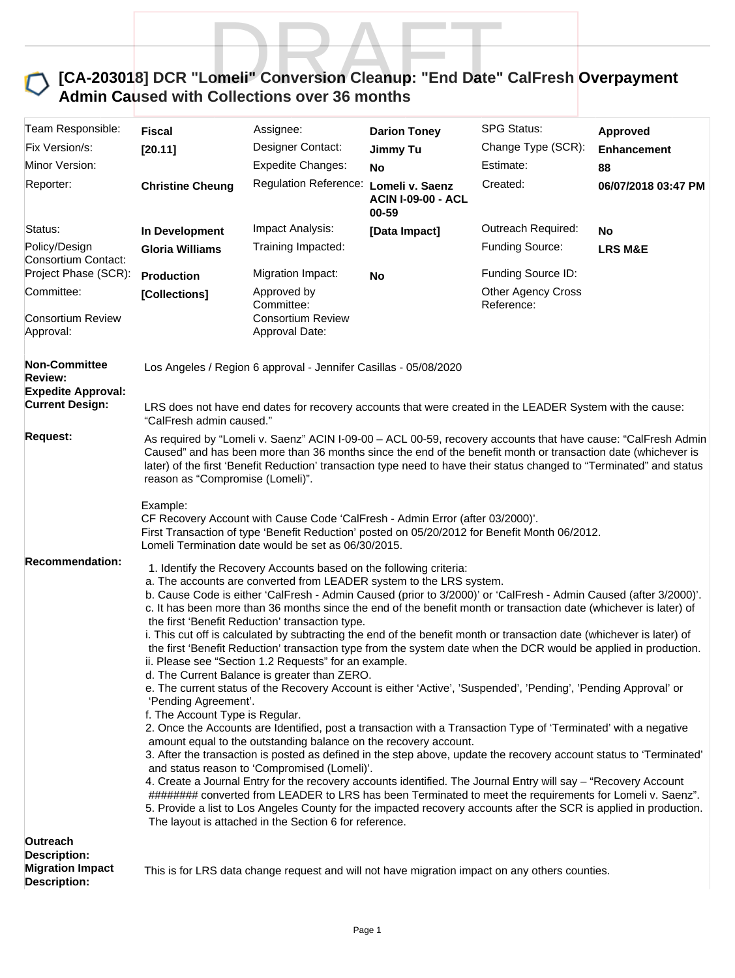

| Team Responsible:                                                     | Fiscal                                                                                                                                                                                                                                                                                                                                                                                                                                                                                                                                                                                                                                                                                                                                                                                                                                                                                                                                                                                                                                                                                                                                                                                                                                                                                                                                                                                                                                                                                                                                                                                                                                                                                                                                                | Assignee:                                                                                                                                                                                                                                                                                                                                                                                                                                                                                                                                                                                        | <b>Darion Toney</b>                                   | <b>SPG Status:</b>                    | Approved            |  |
|-----------------------------------------------------------------------|-------------------------------------------------------------------------------------------------------------------------------------------------------------------------------------------------------------------------------------------------------------------------------------------------------------------------------------------------------------------------------------------------------------------------------------------------------------------------------------------------------------------------------------------------------------------------------------------------------------------------------------------------------------------------------------------------------------------------------------------------------------------------------------------------------------------------------------------------------------------------------------------------------------------------------------------------------------------------------------------------------------------------------------------------------------------------------------------------------------------------------------------------------------------------------------------------------------------------------------------------------------------------------------------------------------------------------------------------------------------------------------------------------------------------------------------------------------------------------------------------------------------------------------------------------------------------------------------------------------------------------------------------------------------------------------------------------------------------------------------------------|--------------------------------------------------------------------------------------------------------------------------------------------------------------------------------------------------------------------------------------------------------------------------------------------------------------------------------------------------------------------------------------------------------------------------------------------------------------------------------------------------------------------------------------------------------------------------------------------------|-------------------------------------------------------|---------------------------------------|---------------------|--|
| Fix Version/s:                                                        | [20.11]                                                                                                                                                                                                                                                                                                                                                                                                                                                                                                                                                                                                                                                                                                                                                                                                                                                                                                                                                                                                                                                                                                                                                                                                                                                                                                                                                                                                                                                                                                                                                                                                                                                                                                                                               | Designer Contact:                                                                                                                                                                                                                                                                                                                                                                                                                                                                                                                                                                                | <b>Jimmy Tu</b>                                       | Change Type (SCR):                    | <b>Enhancement</b>  |  |
| Minor Version:                                                        |                                                                                                                                                                                                                                                                                                                                                                                                                                                                                                                                                                                                                                                                                                                                                                                                                                                                                                                                                                                                                                                                                                                                                                                                                                                                                                                                                                                                                                                                                                                                                                                                                                                                                                                                                       | <b>Expedite Changes:</b>                                                                                                                                                                                                                                                                                                                                                                                                                                                                                                                                                                         | No                                                    | Estimate:                             | 88                  |  |
| Reporter:                                                             | <b>Christine Cheung</b>                                                                                                                                                                                                                                                                                                                                                                                                                                                                                                                                                                                                                                                                                                                                                                                                                                                                                                                                                                                                                                                                                                                                                                                                                                                                                                                                                                                                                                                                                                                                                                                                                                                                                                                               | <b>Regulation Reference:</b>                                                                                                                                                                                                                                                                                                                                                                                                                                                                                                                                                                     | Lomeli v. Saenz<br><b>ACIN I-09-00 - ACL</b><br>00-59 | Created:                              | 06/07/2018 03:47 PM |  |
| Status:                                                               | In Development                                                                                                                                                                                                                                                                                                                                                                                                                                                                                                                                                                                                                                                                                                                                                                                                                                                                                                                                                                                                                                                                                                                                                                                                                                                                                                                                                                                                                                                                                                                                                                                                                                                                                                                                        | Impact Analysis:                                                                                                                                                                                                                                                                                                                                                                                                                                                                                                                                                                                 | [Data Impact]                                         | Outreach Required:                    | <b>No</b>           |  |
| Policy/Design<br>Consortium Contact:<br>Project Phase (SCR):          | <b>Gloria Williams</b>                                                                                                                                                                                                                                                                                                                                                                                                                                                                                                                                                                                                                                                                                                                                                                                                                                                                                                                                                                                                                                                                                                                                                                                                                                                                                                                                                                                                                                                                                                                                                                                                                                                                                                                                | Training Impacted:                                                                                                                                                                                                                                                                                                                                                                                                                                                                                                                                                                               |                                                       | Funding Source:<br>Funding Source ID: | <b>LRS M&amp;E</b>  |  |
| Committee:                                                            | <b>Production</b>                                                                                                                                                                                                                                                                                                                                                                                                                                                                                                                                                                                                                                                                                                                                                                                                                                                                                                                                                                                                                                                                                                                                                                                                                                                                                                                                                                                                                                                                                                                                                                                                                                                                                                                                     | Migration Impact:<br>Approved by                                                                                                                                                                                                                                                                                                                                                                                                                                                                                                                                                                 | No                                                    | <b>Other Agency Cross</b>             |                     |  |
| <b>Consortium Review</b><br>Approval:                                 | [Collections]                                                                                                                                                                                                                                                                                                                                                                                                                                                                                                                                                                                                                                                                                                                                                                                                                                                                                                                                                                                                                                                                                                                                                                                                                                                                                                                                                                                                                                                                                                                                                                                                                                                                                                                                         | Committee:<br><b>Consortium Review</b><br>Approval Date:                                                                                                                                                                                                                                                                                                                                                                                                                                                                                                                                         |                                                       | Reference:                            |                     |  |
| <b>Non-Committee</b><br><b>Review:</b><br><b>Expedite Approval:</b>   |                                                                                                                                                                                                                                                                                                                                                                                                                                                                                                                                                                                                                                                                                                                                                                                                                                                                                                                                                                                                                                                                                                                                                                                                                                                                                                                                                                                                                                                                                                                                                                                                                                                                                                                                                       | Los Angeles / Region 6 approval - Jennifer Casillas - 05/08/2020                                                                                                                                                                                                                                                                                                                                                                                                                                                                                                                                 |                                                       |                                       |                     |  |
| <b>Current Design:</b>                                                | "CalFresh admin caused."                                                                                                                                                                                                                                                                                                                                                                                                                                                                                                                                                                                                                                                                                                                                                                                                                                                                                                                                                                                                                                                                                                                                                                                                                                                                                                                                                                                                                                                                                                                                                                                                                                                                                                                              | LRS does not have end dates for recovery accounts that were created in the LEADER System with the cause:                                                                                                                                                                                                                                                                                                                                                                                                                                                                                         |                                                       |                                       |                     |  |
| <b>Request:</b>                                                       | reason as "Compromise (Lomeli)".<br>Example:                                                                                                                                                                                                                                                                                                                                                                                                                                                                                                                                                                                                                                                                                                                                                                                                                                                                                                                                                                                                                                                                                                                                                                                                                                                                                                                                                                                                                                                                                                                                                                                                                                                                                                          | As required by "Lomeli v. Saenz" ACIN I-09-00 - ACL 00-59, recovery accounts that have cause: "CalFresh Admin<br>Caused" and has been more than 36 months since the end of the benefit month or transaction date (whichever is<br>later) of the first 'Benefit Reduction' transaction type need to have their status changed to "Terminated" and status<br>CF Recovery Account with Cause Code 'CalFresh - Admin Error (after 03/2000)'.<br>First Transaction of type 'Benefit Reduction' posted on 05/20/2012 for Benefit Month 06/2012.<br>Lomeli Termination date would be set as 06/30/2015. |                                                       |                                       |                     |  |
| <b>Recommendation:</b><br>Outreach                                    | 1. Identify the Recovery Accounts based on the following criteria:<br>a. The accounts are converted from LEADER system to the LRS system.<br>b. Cause Code is either 'CalFresh - Admin Caused (prior to 3/2000)' or 'CalFresh - Admin Caused (after 3/2000)'.<br>c. It has been more than 36 months since the end of the benefit month or transaction date (whichever is later) of<br>the first 'Benefit Reduction' transaction type.<br>i. This cut off is calculated by subtracting the end of the benefit month or transaction date (whichever is later) of<br>the first 'Benefit Reduction' transaction type from the system date when the DCR would be applied in production.<br>ii. Please see "Section 1.2 Requests" for an example.<br>d. The Current Balance is greater than ZERO.<br>e. The current status of the Recovery Account is either 'Active', 'Suspended', 'Pending', 'Pending Approval' or<br>'Pending Agreement'.<br>f. The Account Type is Regular.<br>2. Once the Accounts are Identified, post a transaction with a Transaction Type of 'Terminated' with a negative<br>amount equal to the outstanding balance on the recovery account.<br>3. After the transaction is posted as defined in the step above, update the recovery account status to 'Terminated'<br>and status reason to 'Compromised (Lomeli)'.<br>4. Create a Journal Entry for the recovery accounts identified. The Journal Entry will say - "Recovery Account<br>######## converted from LEADER to LRS has been Terminated to meet the requirements for Lomeli v. Saenz".<br>5. Provide a list to Los Angeles County for the impacted recovery accounts after the SCR is applied in production.<br>The layout is attached in the Section 6 for reference. |                                                                                                                                                                                                                                                                                                                                                                                                                                                                                                                                                                                                  |                                                       |                                       |                     |  |
| <b>Description:</b><br><b>Migration Impact</b><br><b>Description:</b> |                                                                                                                                                                                                                                                                                                                                                                                                                                                                                                                                                                                                                                                                                                                                                                                                                                                                                                                                                                                                                                                                                                                                                                                                                                                                                                                                                                                                                                                                                                                                                                                                                                                                                                                                                       | This is for LRS data change request and will not have migration impact on any others counties.                                                                                                                                                                                                                                                                                                                                                                                                                                                                                                   |                                                       |                                       |                     |  |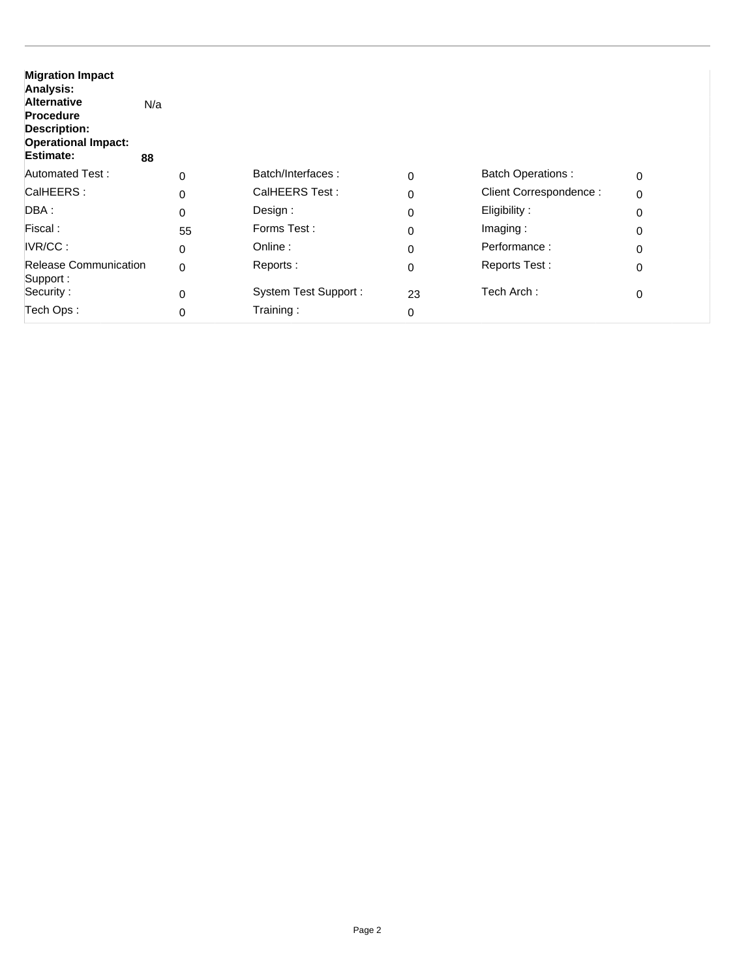| <b>Migration Impact</b><br>Analysis:<br><b>Alternative</b><br><b>Procedure</b><br><b>Description:</b><br><b>Operational Impact:</b><br><b>Estimate:</b> | N/a<br>88   |                             |    |                          |             |
|---------------------------------------------------------------------------------------------------------------------------------------------------------|-------------|-----------------------------|----|--------------------------|-------------|
| <b>Automated Test:</b>                                                                                                                                  | $\Omega$    | Batch/Interfaces:           | 0  | <b>Batch Operations:</b> | $\mathbf 0$ |
| CalHEERS:                                                                                                                                               | $\Omega$    | CalHEERS Test:              | 0  | Client Correspondence:   | $\mathbf 0$ |
| DBA :                                                                                                                                                   | $\Omega$    | Design:                     | 0  | Eligibility:             | 0           |
| Fiscal:                                                                                                                                                 | 55          | Forms Test:                 | 0  | Imaging:                 | 0           |
| IVR/CC:                                                                                                                                                 | $\mathbf 0$ | Online:                     | 0  | Performance:             | 0           |
| <b>Release Communication</b><br>Support:                                                                                                                | $\mathbf 0$ | Reports:                    | 0  | Reports Test:            | 0           |
| Security:                                                                                                                                               | $\Omega$    | <b>System Test Support:</b> | 23 | Tech Arch:               | 0           |
| Tech Ops:                                                                                                                                               | $\Omega$    | Training:                   | 0  |                          |             |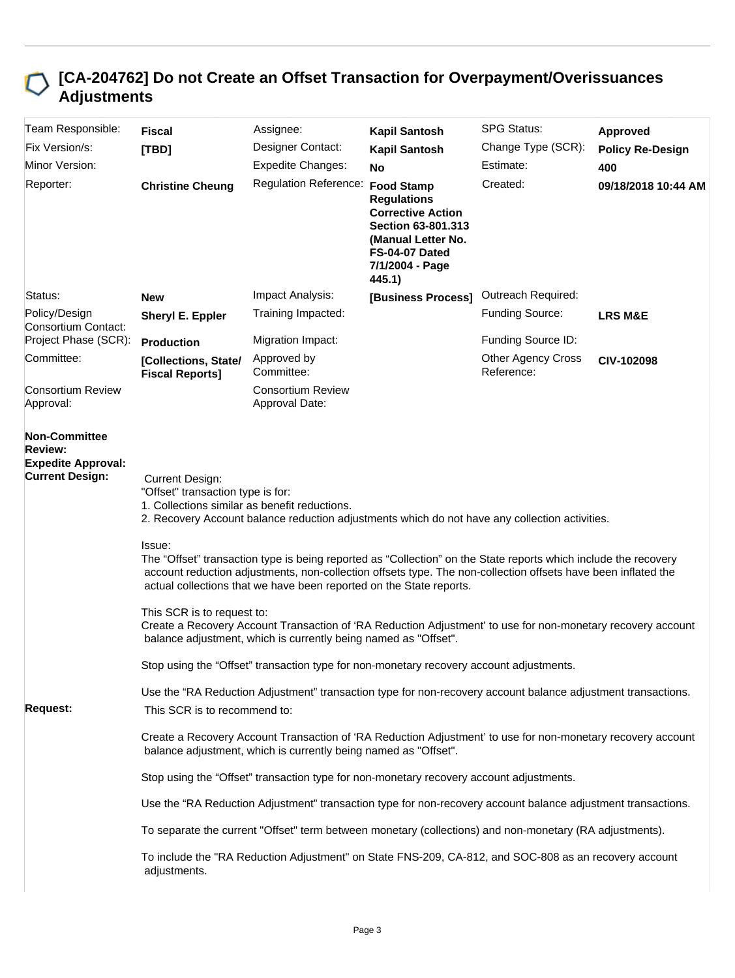## **[CA-204762] Do not Create an Offset Transaction for Overpayment/Overissuances Adjustments**

| Team Responsible:                                                                             | <b>Fiscal</b>                                                                                                                                                                                                  | Assignee:                                                                                                                                                                                                                                                                                               | <b>Kapil Santosh</b>                                                                                                                                           | <b>SPG Status:</b>                      | Approved                |  |  |
|-----------------------------------------------------------------------------------------------|----------------------------------------------------------------------------------------------------------------------------------------------------------------------------------------------------------------|---------------------------------------------------------------------------------------------------------------------------------------------------------------------------------------------------------------------------------------------------------------------------------------------------------|----------------------------------------------------------------------------------------------------------------------------------------------------------------|-----------------------------------------|-------------------------|--|--|
| Fix Version/s:                                                                                | [TBD]                                                                                                                                                                                                          | Designer Contact:                                                                                                                                                                                                                                                                                       | <b>Kapil Santosh</b>                                                                                                                                           | Change Type (SCR):                      | <b>Policy Re-Design</b> |  |  |
| Minor Version:                                                                                |                                                                                                                                                                                                                | <b>Expedite Changes:</b>                                                                                                                                                                                                                                                                                | No                                                                                                                                                             | Estimate:                               | 400                     |  |  |
| Reporter:                                                                                     | <b>Christine Cheung</b>                                                                                                                                                                                        | <b>Regulation Reference:</b>                                                                                                                                                                                                                                                                            | <b>Food Stamp</b><br><b>Regulations</b><br><b>Corrective Action</b><br>Section 63-801.313<br>(Manual Letter No.<br>FS-04-07 Dated<br>7/1/2004 - Page<br>445.1) | Created:                                | 09/18/2018 10:44 AM     |  |  |
| Status:                                                                                       | <b>New</b>                                                                                                                                                                                                     | Impact Analysis:                                                                                                                                                                                                                                                                                        | [Business Process]                                                                                                                                             | Outreach Required:                      |                         |  |  |
| Policy/Design<br>Consortium Contact:                                                          | Sheryl E. Eppler                                                                                                                                                                                               | Training Impacted:                                                                                                                                                                                                                                                                                      |                                                                                                                                                                | Funding Source:                         | <b>LRS M&amp;E</b>      |  |  |
| Project Phase (SCR):                                                                          | <b>Production</b>                                                                                                                                                                                              | Migration Impact:                                                                                                                                                                                                                                                                                       |                                                                                                                                                                | Funding Source ID:                      |                         |  |  |
| Committee:                                                                                    | [Collections, State/<br><b>Fiscal Reports]</b>                                                                                                                                                                 | Approved by<br>Committee:                                                                                                                                                                                                                                                                               |                                                                                                                                                                | <b>Other Agency Cross</b><br>Reference: | CIV-102098              |  |  |
| <b>Consortium Review</b><br>Approval:                                                         |                                                                                                                                                                                                                | <b>Consortium Review</b><br>Approval Date:                                                                                                                                                                                                                                                              |                                                                                                                                                                |                                         |                         |  |  |
| <b>Non-Committee</b><br><b>Review:</b><br><b>Expedite Approval:</b><br><b>Current Design:</b> | <b>Current Design:</b><br>"Offset" transaction type is for:<br>1. Collections similar as benefit reductions.<br>2. Recovery Account balance reduction adjustments which do not have any collection activities. |                                                                                                                                                                                                                                                                                                         |                                                                                                                                                                |                                         |                         |  |  |
|                                                                                               | Issue:                                                                                                                                                                                                         | The "Offset" transaction type is being reported as "Collection" on the State reports which include the recovery<br>account reduction adjustments, non-collection offsets type. The non-collection offsets have been inflated the<br>actual collections that we have been reported on the State reports. |                                                                                                                                                                |                                         |                         |  |  |
|                                                                                               | This SCR is to request to:                                                                                                                                                                                     | Create a Recovery Account Transaction of 'RA Reduction Adjustment' to use for non-monetary recovery account<br>balance adjustment, which is currently being named as "Offset".                                                                                                                          |                                                                                                                                                                |                                         |                         |  |  |
|                                                                                               |                                                                                                                                                                                                                | Stop using the "Offset" transaction type for non-monetary recovery account adjustments.                                                                                                                                                                                                                 |                                                                                                                                                                |                                         |                         |  |  |
|                                                                                               |                                                                                                                                                                                                                | Use the "RA Reduction Adjustment" transaction type for non-recovery account balance adjustment transactions.                                                                                                                                                                                            |                                                                                                                                                                |                                         |                         |  |  |
| <b>Request:</b>                                                                               | This SCR is to recommend to:                                                                                                                                                                                   |                                                                                                                                                                                                                                                                                                         |                                                                                                                                                                |                                         |                         |  |  |
|                                                                                               | Create a Recovery Account Transaction of 'RA Reduction Adjustment' to use for non-monetary recovery account<br>balance adjustment, which is currently being named as "Offset".                                 |                                                                                                                                                                                                                                                                                                         |                                                                                                                                                                |                                         |                         |  |  |
|                                                                                               |                                                                                                                                                                                                                | Stop using the "Offset" transaction type for non-monetary recovery account adjustments.                                                                                                                                                                                                                 |                                                                                                                                                                |                                         |                         |  |  |
|                                                                                               |                                                                                                                                                                                                                | Use the "RA Reduction Adjustment" transaction type for non-recovery account balance adjustment transactions.                                                                                                                                                                                            |                                                                                                                                                                |                                         |                         |  |  |
|                                                                                               |                                                                                                                                                                                                                | To separate the current "Offset" term between monetary (collections) and non-monetary (RA adjustments).                                                                                                                                                                                                 |                                                                                                                                                                |                                         |                         |  |  |
|                                                                                               | To include the "RA Reduction Adjustment" on State FNS-209, CA-812, and SOC-808 as an recovery account<br>adjustments.                                                                                          |                                                                                                                                                                                                                                                                                                         |                                                                                                                                                                |                                         |                         |  |  |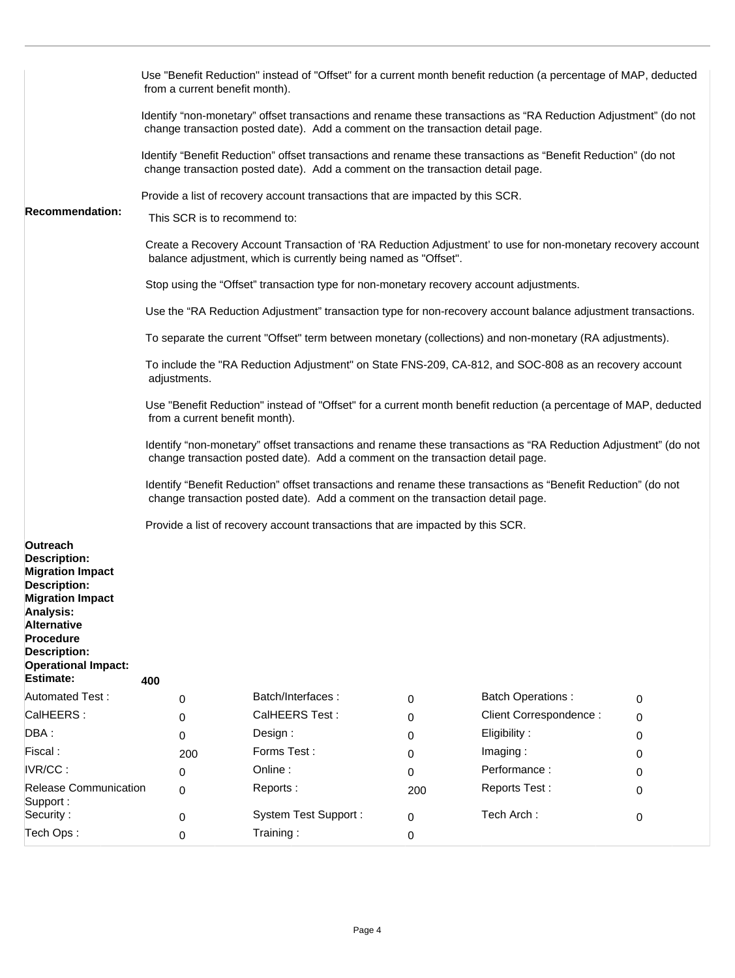|                                                                                                                                                                                                                                                     | Use "Benefit Reduction" instead of "Offset" for a current month benefit reduction (a percentage of MAP, deducted<br>from a current benefit month).                                               |                              |                                                                                         |     |                                                                                                                |   |  |
|-----------------------------------------------------------------------------------------------------------------------------------------------------------------------------------------------------------------------------------------------------|--------------------------------------------------------------------------------------------------------------------------------------------------------------------------------------------------|------------------------------|-----------------------------------------------------------------------------------------|-----|----------------------------------------------------------------------------------------------------------------|---|--|
|                                                                                                                                                                                                                                                     |                                                                                                                                                                                                  |                              | change transaction posted date). Add a comment on the transaction detail page.          |     | Identify "non-monetary" offset transactions and rename these transactions as "RA Reduction Adjustment" (do not |   |  |
|                                                                                                                                                                                                                                                     |                                                                                                                                                                                                  |                              | change transaction posted date). Add a comment on the transaction detail page.          |     | Identify "Benefit Reduction" offset transactions and rename these transactions as "Benefit Reduction" (do not  |   |  |
|                                                                                                                                                                                                                                                     |                                                                                                                                                                                                  |                              | Provide a list of recovery account transactions that are impacted by this SCR.          |     |                                                                                                                |   |  |
| <b>Recommendation:</b>                                                                                                                                                                                                                              |                                                                                                                                                                                                  | This SCR is to recommend to: |                                                                                         |     |                                                                                                                |   |  |
|                                                                                                                                                                                                                                                     |                                                                                                                                                                                                  |                              | balance adjustment, which is currently being named as "Offset".                         |     | Create a Recovery Account Transaction of 'RA Reduction Adjustment' to use for non-monetary recovery account    |   |  |
|                                                                                                                                                                                                                                                     |                                                                                                                                                                                                  |                              | Stop using the "Offset" transaction type for non-monetary recovery account adjustments. |     |                                                                                                                |   |  |
|                                                                                                                                                                                                                                                     |                                                                                                                                                                                                  |                              |                                                                                         |     | Use the "RA Reduction Adjustment" transaction type for non-recovery account balance adjustment transactions.   |   |  |
|                                                                                                                                                                                                                                                     |                                                                                                                                                                                                  |                              |                                                                                         |     | To separate the current "Offset" term between monetary (collections) and non-monetary (RA adjustments).        |   |  |
| To include the "RA Reduction Adjustment" on State FNS-209, CA-812, and SOC-808 as an recovery account<br>adjustments.                                                                                                                               |                                                                                                                                                                                                  |                              |                                                                                         |     |                                                                                                                |   |  |
|                                                                                                                                                                                                                                                     | Use "Benefit Reduction" instead of "Offset" for a current month benefit reduction (a percentage of MAP, deducted<br>from a current benefit month).                                               |                              |                                                                                         |     |                                                                                                                |   |  |
|                                                                                                                                                                                                                                                     | Identify "non-monetary" offset transactions and rename these transactions as "RA Reduction Adjustment" (do not<br>change transaction posted date). Add a comment on the transaction detail page. |                              |                                                                                         |     |                                                                                                                |   |  |
|                                                                                                                                                                                                                                                     | Identify "Benefit Reduction" offset transactions and rename these transactions as "Benefit Reduction" (do not<br>change transaction posted date). Add a comment on the transaction detail page.  |                              |                                                                                         |     |                                                                                                                |   |  |
|                                                                                                                                                                                                                                                     |                                                                                                                                                                                                  |                              | Provide a list of recovery account transactions that are impacted by this SCR.          |     |                                                                                                                |   |  |
| Outreach<br><b>Description:</b><br><b>Migration Impact</b><br><b>Description:</b><br><b>Migration Impact</b><br><b>Analysis:</b><br><b>Alternative</b><br><b>Procedure</b><br><b>Description:</b><br><b>Operational Impact:</b><br><b>Estimate:</b> | 400                                                                                                                                                                                              |                              |                                                                                         |     |                                                                                                                |   |  |
| <b>Automated Test:</b>                                                                                                                                                                                                                              |                                                                                                                                                                                                  | 0                            | Batch/Interfaces:                                                                       | 0   | <b>Batch Operations:</b>                                                                                       | 0 |  |
| CalHEERS:                                                                                                                                                                                                                                           |                                                                                                                                                                                                  | 0                            | CalHEERS Test:                                                                          | 0   | Client Correspondence :                                                                                        | 0 |  |
| DBA:                                                                                                                                                                                                                                                |                                                                                                                                                                                                  | 0                            | Design:                                                                                 | 0   | Eligibility:                                                                                                   | 0 |  |
| Fiscal:                                                                                                                                                                                                                                             |                                                                                                                                                                                                  | 200                          | Forms Test:                                                                             | 0   | Imaging:                                                                                                       | 0 |  |
| IVR/CC:                                                                                                                                                                                                                                             |                                                                                                                                                                                                  | 0                            | Online:                                                                                 | 0   | Performance:                                                                                                   | 0 |  |
| <b>Release Communication</b><br>Support:                                                                                                                                                                                                            |                                                                                                                                                                                                  | $\Omega$                     | Reports:                                                                                | 200 | Reports Test:                                                                                                  | 0 |  |
| Security:                                                                                                                                                                                                                                           |                                                                                                                                                                                                  | 0                            | <b>System Test Support:</b>                                                             | 0   | Tech Arch:                                                                                                     | 0 |  |
| Tech Ops:                                                                                                                                                                                                                                           |                                                                                                                                                                                                  | 0                            | Training:                                                                               | 0   |                                                                                                                |   |  |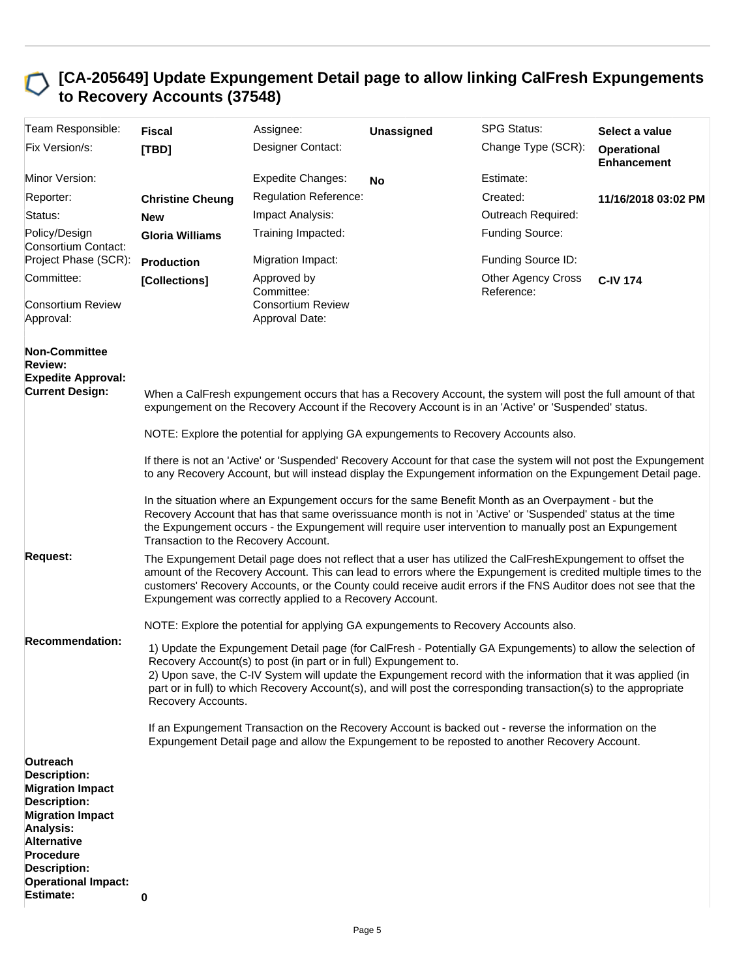### **[CA-205649] Update Expungement Detail page to allow linking CalFresh Expungements to Recovery Accounts (37548)**

| Team Responsible:                                                                                                                                                                                                                            | <b>Fiscal</b>                        | Assignee:                                                                                                                                                                                                                                                                                                                                                                                                                                                                                                                                                                                                                      | <b>Unassigned</b> | <b>SPG Status:</b>                      | Select a value                           |  |  |
|----------------------------------------------------------------------------------------------------------------------------------------------------------------------------------------------------------------------------------------------|--------------------------------------|--------------------------------------------------------------------------------------------------------------------------------------------------------------------------------------------------------------------------------------------------------------------------------------------------------------------------------------------------------------------------------------------------------------------------------------------------------------------------------------------------------------------------------------------------------------------------------------------------------------------------------|-------------------|-----------------------------------------|------------------------------------------|--|--|
| Fix Version/s:                                                                                                                                                                                                                               | [TBD]                                | Designer Contact:                                                                                                                                                                                                                                                                                                                                                                                                                                                                                                                                                                                                              |                   | Change Type (SCR):                      | <b>Operational</b><br><b>Enhancement</b> |  |  |
| Minor Version:                                                                                                                                                                                                                               |                                      | <b>Expedite Changes:</b>                                                                                                                                                                                                                                                                                                                                                                                                                                                                                                                                                                                                       | <b>No</b>         | Estimate:                               |                                          |  |  |
| Reporter:                                                                                                                                                                                                                                    | <b>Christine Cheung</b>              | <b>Regulation Reference:</b>                                                                                                                                                                                                                                                                                                                                                                                                                                                                                                                                                                                                   |                   | Created:                                | 11/16/2018 03:02 PM                      |  |  |
| Status:                                                                                                                                                                                                                                      | <b>New</b>                           | Impact Analysis:                                                                                                                                                                                                                                                                                                                                                                                                                                                                                                                                                                                                               |                   | Outreach Required:                      |                                          |  |  |
| Policy/Design<br>Consortium Contact:                                                                                                                                                                                                         | <b>Gloria Williams</b>               | Training Impacted:                                                                                                                                                                                                                                                                                                                                                                                                                                                                                                                                                                                                             |                   | Funding Source:                         |                                          |  |  |
| Project Phase (SCR):                                                                                                                                                                                                                         | <b>Production</b>                    | Migration Impact:                                                                                                                                                                                                                                                                                                                                                                                                                                                                                                                                                                                                              |                   | Funding Source ID:                      |                                          |  |  |
| Committee:                                                                                                                                                                                                                                   | [Collections]                        | Approved by<br>Committee:                                                                                                                                                                                                                                                                                                                                                                                                                                                                                                                                                                                                      |                   | <b>Other Agency Cross</b><br>Reference: | <b>C-IV 174</b>                          |  |  |
| <b>Consortium Review</b><br>Approval:                                                                                                                                                                                                        |                                      | <b>Consortium Review</b><br>Approval Date:                                                                                                                                                                                                                                                                                                                                                                                                                                                                                                                                                                                     |                   |                                         |                                          |  |  |
| <b>Non-Committee</b><br><b>Review:</b><br><b>Expedite Approval:</b><br><b>Current Design:</b>                                                                                                                                                |                                      | When a CalFresh expungement occurs that has a Recovery Account, the system will post the full amount of that<br>expungement on the Recovery Account if the Recovery Account is in an 'Active' or 'Suspended' status.                                                                                                                                                                                                                                                                                                                                                                                                           |                   |                                         |                                          |  |  |
|                                                                                                                                                                                                                                              |                                      | NOTE: Explore the potential for applying GA expungements to Recovery Accounts also.                                                                                                                                                                                                                                                                                                                                                                                                                                                                                                                                            |                   |                                         |                                          |  |  |
|                                                                                                                                                                                                                                              |                                      | If there is not an 'Active' or 'Suspended' Recovery Account for that case the system will not post the Expungement<br>to any Recovery Account, but will instead display the Expungement information on the Expungement Detail page.                                                                                                                                                                                                                                                                                                                                                                                            |                   |                                         |                                          |  |  |
|                                                                                                                                                                                                                                              | Transaction to the Recovery Account. | In the situation where an Expungement occurs for the same Benefit Month as an Overpayment - but the<br>Recovery Account that has that same overissuance month is not in 'Active' or 'Suspended' status at the time<br>the Expungement occurs - the Expungement will require user intervention to manually post an Expungement                                                                                                                                                                                                                                                                                                  |                   |                                         |                                          |  |  |
| <b>Request:</b>                                                                                                                                                                                                                              |                                      | The Expungement Detail page does not reflect that a user has utilized the CalFreshExpungement to offset the<br>amount of the Recovery Account. This can lead to errors where the Expungement is credited multiple times to the<br>customers' Recovery Accounts, or the County could receive audit errors if the FNS Auditor does not see that the<br>Expungement was correctly applied to a Recovery Account.                                                                                                                                                                                                                  |                   |                                         |                                          |  |  |
|                                                                                                                                                                                                                                              |                                      | NOTE: Explore the potential for applying GA expungements to Recovery Accounts also.                                                                                                                                                                                                                                                                                                                                                                                                                                                                                                                                            |                   |                                         |                                          |  |  |
| <b>Recommendation:</b>                                                                                                                                                                                                                       | Recovery Accounts.                   | 1) Update the Expungement Detail page (for CalFresh - Potentially GA Expungements) to allow the selection of<br>Recovery Account(s) to post (in part or in full) Expungement to.<br>2) Upon save, the C-IV System will update the Expungement record with the information that it was applied (in<br>part or in full) to which Recovery Account(s), and will post the corresponding transaction(s) to the appropriate<br>If an Expungement Transaction on the Recovery Account is backed out - reverse the information on the<br>Expungement Detail page and allow the Expungement to be reposted to another Recovery Account. |                   |                                         |                                          |  |  |
| Outreach<br><b>Description:</b><br><b>Migration Impact</b><br><b>Description:</b><br><b>Migration Impact</b><br>Analysis:<br><b>Alternative</b><br><b>Procedure</b><br><b>Description:</b><br><b>Operational Impact:</b><br><b>Estimate:</b> | 0                                    |                                                                                                                                                                                                                                                                                                                                                                                                                                                                                                                                                                                                                                |                   |                                         |                                          |  |  |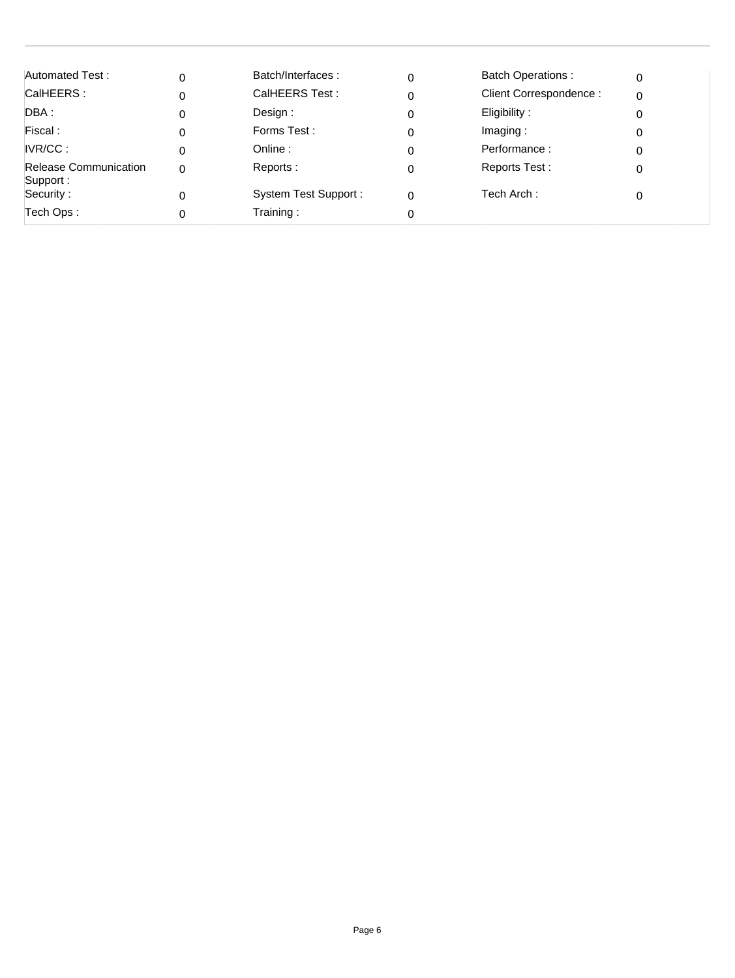| Automated Test:                          | 0        | Batch/Interfaces:           | 0        | <b>Batch Operations:</b> | 0 |
|------------------------------------------|----------|-----------------------------|----------|--------------------------|---|
| CalHEERS:                                |          | CalHEERS Test:              | 0        | Client Correspondence:   |   |
| DBA :                                    |          | Design:                     | 0        | Eligibility:             |   |
| Fiscal:                                  |          | Forms Test:                 | 0        | Imaging:                 |   |
| IVR/CC:                                  |          | Online :                    | 0        | Performance:             |   |
| <b>Release Communication</b><br>Support: | $\Omega$ | Reports:                    | 0        | Reports Test:            |   |
| Security:                                |          | <b>System Test Support:</b> | $\Omega$ | Tech Arch:               |   |
| Tech Ops:                                |          | Training:                   | 0        |                          |   |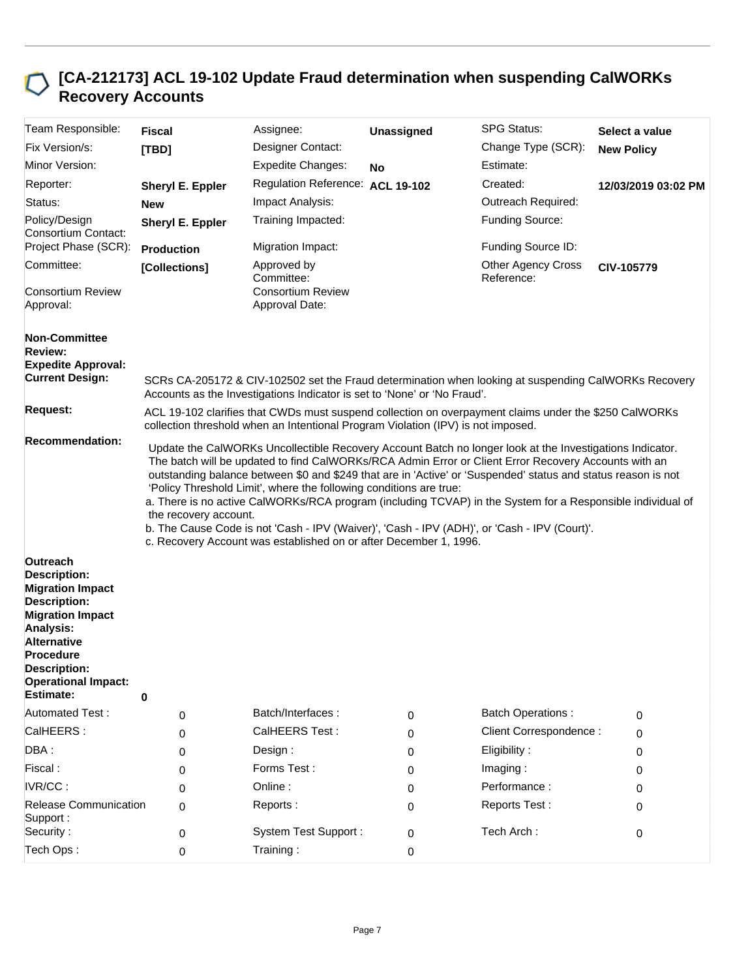## **[CA-212173] ACL 19-102 Update Fraud determination when suspending CalWORKs Recovery Accounts**

| Team Responsible:                                                                                                                                                                                                                            | <b>Fiscal</b>     | Assignee:                                                                                                                                                                                                                                                                                                                                                                                                                                                                                                                                                                                               | Unassigned | <b>SPG Status:</b>                                                                                    | Select a value      |  |  |
|----------------------------------------------------------------------------------------------------------------------------------------------------------------------------------------------------------------------------------------------|-------------------|---------------------------------------------------------------------------------------------------------------------------------------------------------------------------------------------------------------------------------------------------------------------------------------------------------------------------------------------------------------------------------------------------------------------------------------------------------------------------------------------------------------------------------------------------------------------------------------------------------|------------|-------------------------------------------------------------------------------------------------------|---------------------|--|--|
| Fix Version/s:                                                                                                                                                                                                                               | [TBD]             | Designer Contact:                                                                                                                                                                                                                                                                                                                                                                                                                                                                                                                                                                                       |            | Change Type (SCR):                                                                                    | <b>New Policy</b>   |  |  |
| Minor Version:                                                                                                                                                                                                                               |                   | <b>Expedite Changes:</b>                                                                                                                                                                                                                                                                                                                                                                                                                                                                                                                                                                                | <b>No</b>  | Estimate:                                                                                             |                     |  |  |
| Reporter:                                                                                                                                                                                                                                    | Sheryl E. Eppler  | Regulation Reference: ACL 19-102                                                                                                                                                                                                                                                                                                                                                                                                                                                                                                                                                                        |            | Created:                                                                                              | 12/03/2019 03:02 PM |  |  |
| Status:                                                                                                                                                                                                                                      | <b>New</b>        | Impact Analysis:                                                                                                                                                                                                                                                                                                                                                                                                                                                                                                                                                                                        |            | Outreach Required:                                                                                    |                     |  |  |
| Policy/Design<br>Consortium Contact:                                                                                                                                                                                                         | Sheryl E. Eppler  | Training Impacted:                                                                                                                                                                                                                                                                                                                                                                                                                                                                                                                                                                                      |            | Funding Source:                                                                                       |                     |  |  |
| Project Phase (SCR):                                                                                                                                                                                                                         | <b>Production</b> | Migration Impact:                                                                                                                                                                                                                                                                                                                                                                                                                                                                                                                                                                                       |            | Funding Source ID:                                                                                    |                     |  |  |
| Committee:                                                                                                                                                                                                                                   | [Collections]     | Approved by<br>Committee:                                                                                                                                                                                                                                                                                                                                                                                                                                                                                                                                                                               |            | <b>Other Agency Cross</b><br>Reference:                                                               | CIV-105779          |  |  |
| <b>Consortium Review</b><br>Approval:                                                                                                                                                                                                        |                   | <b>Consortium Review</b><br>Approval Date:                                                                                                                                                                                                                                                                                                                                                                                                                                                                                                                                                              |            |                                                                                                       |                     |  |  |
| <b>Non-Committee</b><br><b>Review:</b><br><b>Expedite Approval:</b><br><b>Current Design:</b>                                                                                                                                                |                   | Accounts as the Investigations Indicator is set to 'None' or 'No Fraud'.                                                                                                                                                                                                                                                                                                                                                                                                                                                                                                                                |            | SCRs CA-205172 & CIV-102502 set the Fraud determination when looking at suspending CalWORKs Recovery  |                     |  |  |
| <b>Request:</b>                                                                                                                                                                                                                              |                   | collection threshold when an Intentional Program Violation (IPV) is not imposed.                                                                                                                                                                                                                                                                                                                                                                                                                                                                                                                        |            | ACL 19-102 clarifies that CWDs must suspend collection on overpayment claims under the \$250 CalWORKs |                     |  |  |
|                                                                                                                                                                                                                                              |                   | The batch will be updated to find CalWORKs/RCA Admin Error or Client Error Recovery Accounts with an<br>outstanding balance between \$0 and \$249 that are in 'Active' or 'Suspended' status and status reason is not<br>'Policy Threshold Limit', where the following conditions are true:<br>a. There is no active CalWORKs/RCA program (including TCVAP) in the System for a Responsible individual of<br>the recovery account.<br>b. The Cause Code is not 'Cash - IPV (Waiver)', 'Cash - IPV (ADH)', or 'Cash - IPV (Court)'.<br>c. Recovery Account was established on or after December 1, 1996. |            |                                                                                                       |                     |  |  |
| Outreach<br><b>Description:</b><br><b>Migration Impact</b><br><b>Description:</b><br><b>Migration Impact</b><br>Analysis:<br><b>Alternative</b><br><b>Procedure</b><br><b>Description:</b><br><b>Operational Impact:</b><br><b>Estimate:</b> |                   |                                                                                                                                                                                                                                                                                                                                                                                                                                                                                                                                                                                                         |            |                                                                                                       |                     |  |  |
|                                                                                                                                                                                                                                              | 0                 |                                                                                                                                                                                                                                                                                                                                                                                                                                                                                                                                                                                                         |            |                                                                                                       |                     |  |  |
| <b>Automated Test:</b><br>CalHEERS:                                                                                                                                                                                                          | 0                 | Batch/Interfaces:<br>CalHEERS Test:                                                                                                                                                                                                                                                                                                                                                                                                                                                                                                                                                                     | 0          | <b>Batch Operations:</b><br>Client Correspondence :                                                   | 0                   |  |  |
|                                                                                                                                                                                                                                              | 0                 |                                                                                                                                                                                                                                                                                                                                                                                                                                                                                                                                                                                                         | 0          |                                                                                                       | 0                   |  |  |
| DBA:                                                                                                                                                                                                                                         | 0                 | Design :                                                                                                                                                                                                                                                                                                                                                                                                                                                                                                                                                                                                | 0          | Eligibility:                                                                                          | 0                   |  |  |
| Fiscal:<br>IVR/CC:                                                                                                                                                                                                                           | 0                 | Forms Test:                                                                                                                                                                                                                                                                                                                                                                                                                                                                                                                                                                                             | 0          | Imaging:                                                                                              | 0                   |  |  |
|                                                                                                                                                                                                                                              | 0                 | Online:                                                                                                                                                                                                                                                                                                                                                                                                                                                                                                                                                                                                 | 0          | Performance:                                                                                          | 0                   |  |  |
| <b>Release Communication</b><br>Support:<br>Security:                                                                                                                                                                                        | 0                 | Reports:<br><b>System Test Support:</b>                                                                                                                                                                                                                                                                                                                                                                                                                                                                                                                                                                 | 0<br>0     | Reports Test:<br>Tech Arch:                                                                           | 0<br>0              |  |  |
| Tech Ops:                                                                                                                                                                                                                                    | 0<br>0            | Training:                                                                                                                                                                                                                                                                                                                                                                                                                                                                                                                                                                                               | 0          |                                                                                                       |                     |  |  |
|                                                                                                                                                                                                                                              |                   |                                                                                                                                                                                                                                                                                                                                                                                                                                                                                                                                                                                                         |            |                                                                                                       |                     |  |  |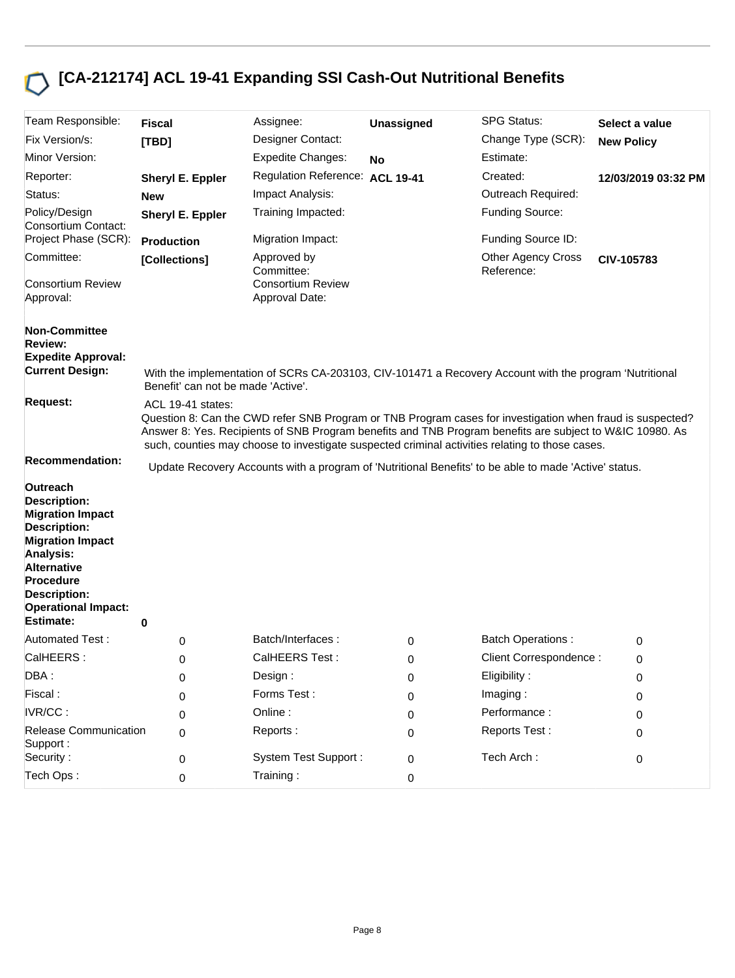# **[CA-212174] ACL 19-41 Expanding SSI Cash-Out Nutritional Benefits**

| Team Responsible:                                                                                                                                                                                                                            | <b>Fiscal</b>                                                                                                                                                                                                                                                                                                                                 | Assignee:                                  | Unassigned | <b>SPG Status:</b>                                                                                     | Select a value      |  |  |
|----------------------------------------------------------------------------------------------------------------------------------------------------------------------------------------------------------------------------------------------|-----------------------------------------------------------------------------------------------------------------------------------------------------------------------------------------------------------------------------------------------------------------------------------------------------------------------------------------------|--------------------------------------------|------------|--------------------------------------------------------------------------------------------------------|---------------------|--|--|
| Fix Version/s:                                                                                                                                                                                                                               | [TBD]                                                                                                                                                                                                                                                                                                                                         | Designer Contact:                          |            | Change Type (SCR):                                                                                     | <b>New Policy</b>   |  |  |
| Minor Version:                                                                                                                                                                                                                               |                                                                                                                                                                                                                                                                                                                                               | <b>Expedite Changes:</b>                   | No         | Estimate:                                                                                              |                     |  |  |
| Reporter:                                                                                                                                                                                                                                    | Sheryl E. Eppler                                                                                                                                                                                                                                                                                                                              | Regulation Reference: ACL 19-41            |            | Created:                                                                                               | 12/03/2019 03:32 PM |  |  |
| Status:                                                                                                                                                                                                                                      | <b>New</b>                                                                                                                                                                                                                                                                                                                                    | Impact Analysis:                           |            | Outreach Required:                                                                                     |                     |  |  |
| Policy/Design<br>Consortium Contact:                                                                                                                                                                                                         | Sheryl E. Eppler                                                                                                                                                                                                                                                                                                                              | Training Impacted:                         |            | <b>Funding Source:</b>                                                                                 |                     |  |  |
| Project Phase (SCR):                                                                                                                                                                                                                         | <b>Production</b>                                                                                                                                                                                                                                                                                                                             | Migration Impact:                          |            | Funding Source ID:                                                                                     |                     |  |  |
| Committee:                                                                                                                                                                                                                                   | [Collections]                                                                                                                                                                                                                                                                                                                                 | Approved by<br>Committee:                  |            | <b>Other Agency Cross</b><br>Reference:                                                                | CIV-105783          |  |  |
| <b>Consortium Review</b><br>Approval:                                                                                                                                                                                                        |                                                                                                                                                                                                                                                                                                                                               | <b>Consortium Review</b><br>Approval Date: |            |                                                                                                        |                     |  |  |
| <b>Non-Committee</b>                                                                                                                                                                                                                         |                                                                                                                                                                                                                                                                                                                                               |                                            |            |                                                                                                        |                     |  |  |
| <b>Review:</b><br><b>Expedite Approval:</b>                                                                                                                                                                                                  |                                                                                                                                                                                                                                                                                                                                               |                                            |            |                                                                                                        |                     |  |  |
| <b>Current Design:</b>                                                                                                                                                                                                                       | Benefit' can not be made 'Active'.                                                                                                                                                                                                                                                                                                            |                                            |            | With the implementation of SCRs CA-203103, CIV-101471 a Recovery Account with the program 'Nutritional |                     |  |  |
| <b>Request:</b>                                                                                                                                                                                                                              | ACL 19-41 states:<br>Question 8: Can the CWD refer SNB Program or TNB Program cases for investigation when fraud is suspected?<br>Answer 8: Yes. Recipients of SNB Program benefits and TNB Program benefits are subject to W&IC 10980. As<br>such, counties may choose to investigate suspected criminal activities relating to those cases. |                                            |            |                                                                                                        |                     |  |  |
| <b>Recommendation:</b>                                                                                                                                                                                                                       |                                                                                                                                                                                                                                                                                                                                               |                                            |            | Update Recovery Accounts with a program of 'Nutritional Benefits' to be able to made 'Active' status.  |                     |  |  |
| Outreach<br><b>Description:</b><br><b>Migration Impact</b><br><b>Description:</b><br><b>Migration Impact</b><br>Analysis:<br><b>Alternative</b><br><b>Procedure</b><br><b>Description:</b><br><b>Operational Impact:</b><br><b>Estimate:</b> | 0                                                                                                                                                                                                                                                                                                                                             |                                            |            |                                                                                                        |                     |  |  |
| <b>Automated Test:</b>                                                                                                                                                                                                                       | 0                                                                                                                                                                                                                                                                                                                                             | Batch/Interfaces:                          | 0          | <b>Batch Operations:</b>                                                                               | 0                   |  |  |
| CalHEERS:                                                                                                                                                                                                                                    | 0                                                                                                                                                                                                                                                                                                                                             | CalHEERS Test:                             | 0          | Client Correspondence:                                                                                 | 0                   |  |  |
| DBA:                                                                                                                                                                                                                                         | 0                                                                                                                                                                                                                                                                                                                                             | Design:                                    | 0          | Eligibility:                                                                                           | 0                   |  |  |
| Fiscal:                                                                                                                                                                                                                                      | 0                                                                                                                                                                                                                                                                                                                                             | Forms Test:                                | 0          | Imaging:                                                                                               | 0                   |  |  |
| IVR/CC:                                                                                                                                                                                                                                      | 0                                                                                                                                                                                                                                                                                                                                             | Online:                                    | 0          | Performance:                                                                                           | 0                   |  |  |
| Release Communication<br>Support:                                                                                                                                                                                                            | 0                                                                                                                                                                                                                                                                                                                                             | Reports:                                   | 0          | Reports Test:                                                                                          | 0                   |  |  |
| Security:                                                                                                                                                                                                                                    | 0                                                                                                                                                                                                                                                                                                                                             | <b>System Test Support:</b>                | 0          | Tech Arch:                                                                                             | 0                   |  |  |
| Tech Ops:                                                                                                                                                                                                                                    | 0                                                                                                                                                                                                                                                                                                                                             | Training:                                  | 0          |                                                                                                        |                     |  |  |